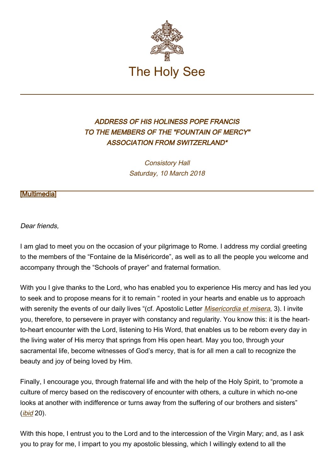

## ADDRESS OF HIS HOLINESS POPE FRANCIS TO THE MEMBERS OF THE "FOUNTAIN OF MERCY" ASSOCIATION FROM SWITZERLAND\*

Consistory Hall Saturday, 10 March 2018

[\[Multimedia](http://w2.vatican.va/content/francesco/en/events/event.dir.html/content/vaticanevents/en/2018/3/10/fontanamisericordia.html)]

Dear friends,

I am glad to meet you on the occasion of your pilgrimage to Rome. I address my cordial greeting to the members of the "Fontaine de la Miséricorde", as well as to all the people you welcome and accompany through the "Schools of prayer" and fraternal formation.

With you I give thanks to the Lord, who has enabled you to experience His mercy and has led you to seek and to propose means for it to remain " rooted in your hearts and enable us to approach with serenity the events of our daily lives "(cf. Apostolic Letter *[Misericordia et misera](https://w2.vatican.va/content/francesco/en/apost_letters/documents/papa-francesco-lettera-ap_20161120_misericordia-et-misera.html)*, 3). I invite you, therefore, to persevere in prayer with constancy and regularity. You know this: it is the heartto-heart encounter with the Lord, listening to His Word, that enables us to be reborn every day in the living water of His mercy that springs from His open heart. May you too, through your sacramental life, become witnesses of God's mercy, that is for all men a call to recognize the beauty and joy of being loved by Him.

Finally, I encourage you, through fraternal life and with the help of the Holy Spirit, to "promote a culture of mercy based on the rediscovery of encounter with others, a culture in which no-one looks at another with indifference or turns away from the suffering of our brothers and sisters"  $(i$ bid 20).

With this hope, I entrust you to the Lord and to the intercession of the Virgin Mary; and, as I ask you to pray for me, I impart to you my apostolic blessing, which I willingly extend to all the